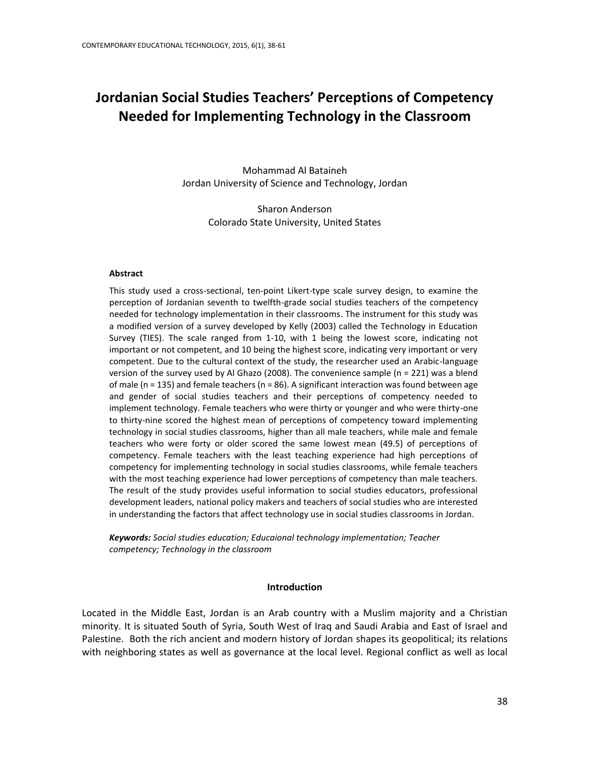# **Jordanian Social Studies Teachers' Perceptions of Competency Needed for Implementing Technology in the Classroom**

Mohammad Al Bataineh Jordan University of Science and Technology, Jordan

> Sharon Anderson Colorado State University, United States

#### **Abstract**

This study used a cross-sectional, ten-point Likert-type scale survey design, to examine the perception of Jordanian seventh to twelfth-grade social studies teachers of the competency needed for technology implementation in their classrooms. The instrument for this study was a modified version of a survey developed by Kelly (2003) called the Technology in Education Survey (TIES). The scale ranged from 1-10, with 1 being the lowest score, indicating not important or not competent, and 10 being the highest score, indicating very important or very competent. Due to the cultural context of the study, the researcher used an Arabic-language version of the survey used by Al Ghazo (2008). The convenience sample ( $n = 221$ ) was a blend of male ( $n = 135$ ) and female teachers ( $n = 86$ ). A significant interaction was found between age and gender of social studies teachers and their perceptions of competency needed to implement technology. Female teachers who were thirty or younger and who were thirty-one to thirty-nine scored the highest mean of perceptions of competency toward implementing technology in social studies classrooms, higher than all male teachers, while male and female teachers who were forty or older scored the same lowest mean (49.5) of perceptions of competency. Female teachers with the least teaching experience had high perceptions of competency for implementing technology in social studies classrooms, while female teachers with the most teaching experience had lower perceptions of competency than male teachers. The result of the study provides useful information to social studies educators, professional development leaders, national policy makers and teachers of social studies who are interested in understanding the factors that affect technology use in social studies classrooms in Jordan.

*Keywords: Social studies education; Educaional technology implementation; Teacher competency; Technology in the classroom*

#### **Introduction**

Located in the Middle East, Jordan is an Arab country with a Muslim majority and a Christian minority. It is situated South of Syria, South West of Iraq and Saudi Arabia and East of Israel and Palestine. Both the rich ancient and modern history of Jordan shapes its geopolitical; its relations with neighboring states as well as governance at the local level. Regional conflict as well as local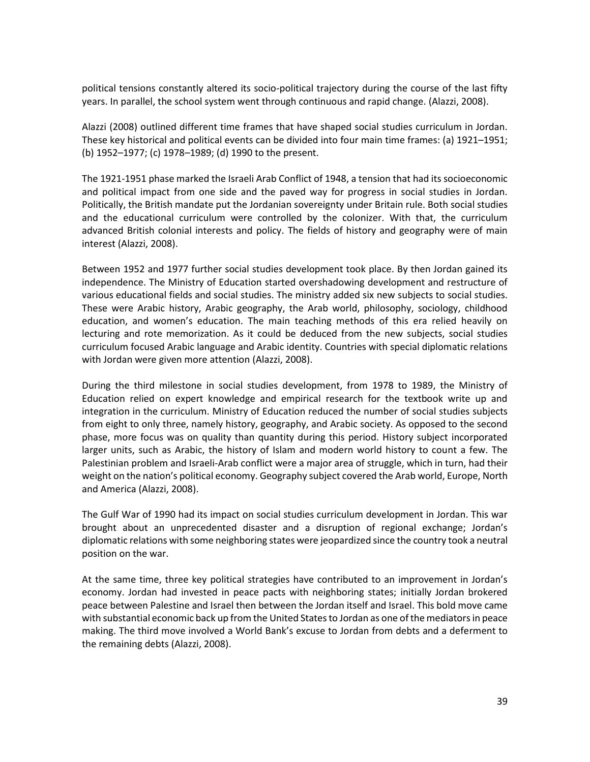political tensions constantly altered its socio-political trajectory during the course of the last fifty years. In parallel, the school system went through continuous and rapid change. (Alazzi, 2008).

Alazzi (2008) outlined different time frames that have shaped social studies curriculum in Jordan. These key historical and political events can be divided into four main time frames: (a) 1921–1951; (b) 1952–1977; (c) 1978–1989; (d) 1990 to the present.

The 1921-1951 phase marked the Israeli Arab Conflict of 1948, a tension that had its socioeconomic and political impact from one side and the paved way for progress in social studies in Jordan. Politically, the British mandate put the Jordanian sovereignty under Britain rule. Both social studies and the educational curriculum were controlled by the colonizer. With that, the curriculum advanced British colonial interests and policy. The fields of history and geography were of main interest (Alazzi, 2008).

Between 1952 and 1977 further social studies development took place. By then Jordan gained its independence. The Ministry of Education started overshadowing development and restructure of various educational fields and social studies. The ministry added six new subjects to social studies. These were Arabic history, Arabic geography, the Arab world, philosophy, sociology, childhood education, and women's education. The main teaching methods of this era relied heavily on lecturing and rote memorization. As it could be deduced from the new subjects, social studies curriculum focused Arabic language and Arabic identity. Countries with special diplomatic relations with Jordan were given more attention (Alazzi, 2008).

During the third milestone in social studies development, from 1978 to 1989, the Ministry of Education relied on expert knowledge and empirical research for the textbook write up and integration in the curriculum. Ministry of Education reduced the number of social studies subjects from eight to only three, namely history, geography, and Arabic society. As opposed to the second phase, more focus was on quality than quantity during this period. History subject incorporated larger units, such as Arabic, the history of Islam and modern world history to count a few. The Palestinian problem and Israeli-Arab conflict were a major area of struggle, which in turn, had their weight on the nation's political economy. Geography subject covered the Arab world, Europe, North and America (Alazzi, 2008).

The Gulf War of 1990 had its impact on social studies curriculum development in Jordan. This war brought about an unprecedented disaster and a disruption of regional exchange; Jordan's diplomatic relations with some neighboring states were jeopardized since the country took a neutral position on the war.

At the same time, three key political strategies have contributed to an improvement in Jordan's economy. Jordan had invested in peace pacts with neighboring states; initially Jordan brokered peace between Palestine and Israel then between the Jordan itself and Israel. This bold move came with substantial economic back up from the United States to Jordan as one of the mediators in peace making. The third move involved a World Bank's excuse to Jordan from debts and a deferment to the remaining debts (Alazzi, 2008).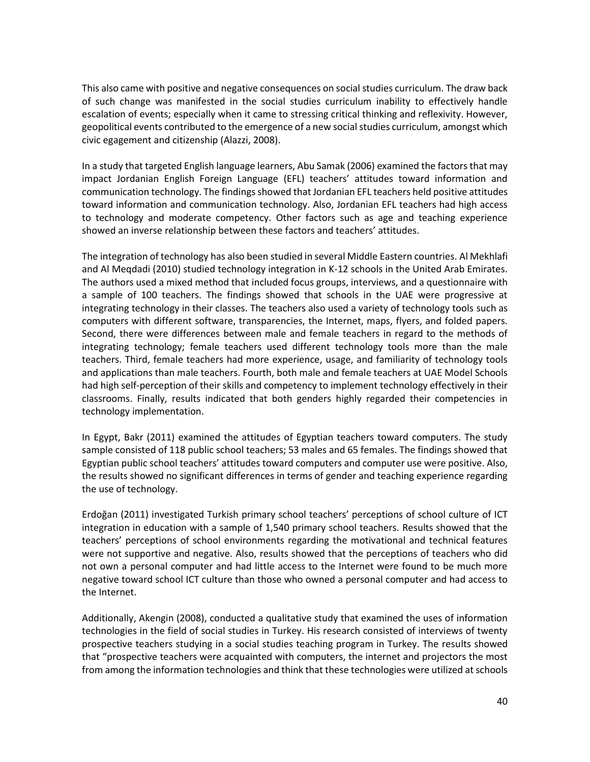This also came with positive and negative consequences on social studies curriculum. The draw back of such change was manifested in the social studies curriculum inability to effectively handle escalation of events; especially when it came to stressing critical thinking and reflexivity. However, geopolitical events contributed to the emergence of a new social studies curriculum, amongst which civic egagement and citizenship (Alazzi, 2008).

In a study that targeted English language learners, Abu Samak (2006) examined the factors that may impact Jordanian English Foreign Language (EFL) teachers' attitudes toward information and communication technology. The findings showed that Jordanian EFL teachers held positive attitudes toward information and communication technology. Also, Jordanian EFL teachers had high access to technology and moderate competency. Other factors such as age and teaching experience showed an inverse relationship between these factors and teachers' attitudes.

The integration of technology has also been studied in several Middle Eastern countries. Al Mekhlafi and Al Meqdadi (2010) studied technology integration in K-12 schools in the United Arab Emirates. The authors used a mixed method that included focus groups, interviews, and a questionnaire with a sample of 100 teachers. The findings showed that schools in the UAE were progressive at integrating technology in their classes. The teachers also used a variety of technology tools such as computers with different software, transparencies, the Internet, maps, flyers, and folded papers. Second, there were differences between male and female teachers in regard to the methods of integrating technology; female teachers used different technology tools more than the male teachers. Third, female teachers had more experience, usage, and familiarity of technology tools and applications than male teachers. Fourth, both male and female teachers at UAE Model Schools had high self-perception of their skills and competency to implement technology effectively in their classrooms. Finally, results indicated that both genders highly regarded their competencies in technology implementation.

In Egypt, Bakr (2011) examined the attitudes of Egyptian teachers toward computers. The study sample consisted of 118 public school teachers; 53 males and 65 females. The findings showed that Egyptian public school teachers' attitudes toward computers and computer use were positive. Also, the results showed no significant differences in terms of gender and teaching experience regarding the use of technology.

Erdoğan (2011) investigated Turkish primary school teachers' perceptions of school culture of ICT integration in education with a sample of 1,540 primary school teachers. Results showed that the teachers' perceptions of school environments regarding the motivational and technical features were not supportive and negative. Also, results showed that the perceptions of teachers who did not own a personal computer and had little access to the Internet were found to be much more negative toward school ICT culture than those who owned a personal computer and had access to the Internet.

Additionally, Akengin (2008), conducted a qualitative study that examined the uses of information technologies in the field of social studies in Turkey. His research consisted of interviews of twenty prospective teachers studying in a social studies teaching program in Turkey. The results showed that "prospective teachers were acquainted with computers, the internet and projectors the most from among the information technologies and think that these technologies were utilized at schools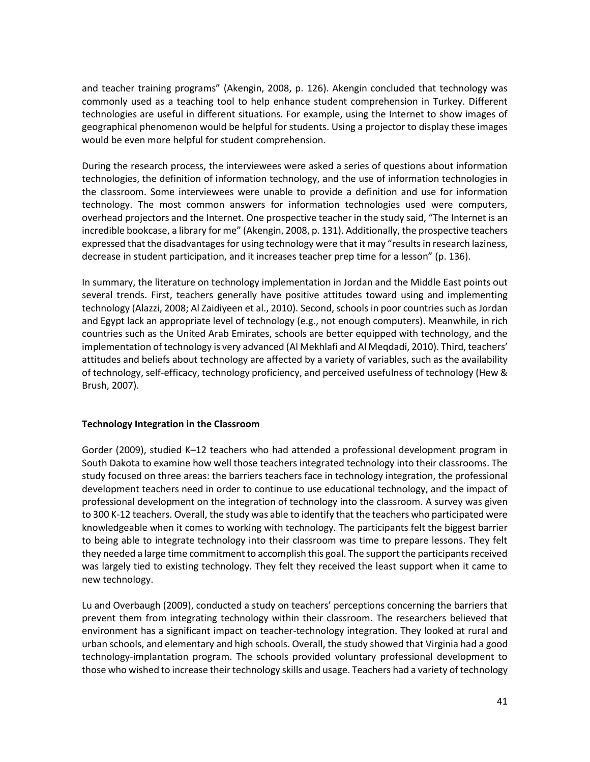and teacher training programs" (Akengin, 2008, p. 126). Akengin concluded that technology was commonly used as a teaching tool to help enhance student comprehension in Turkey. Different technologies are useful in different situations. For example, using the Internet to show images of geographical phenomenon would be helpful for students. Using a projector to display these images would be even more helpful for student comprehension.

During the research process, the interviewees were asked a series of questions about information technologies, the definition of information technology, and the use of information technologies in the classroom. Some interviewees were unable to provide a definition and use for information technology. The most common answers for information technologies used were computers, overhead projectors and the Internet. One prospective teacher in the study said, "The Internet is an incredible bookcase, a library for me" (Akengin, 2008, p. 131). Additionally, the prospective teachers expressed that the disadvantages for using technology were that it may "results in research laziness, decrease in student participation, and it increases teacher prep time for a lesson" (p. 136).

In summary, the literature on technology implementation in Jordan and the Middle East points out several trends. First, teachers generally have positive attitudes toward using and implementing technology (Alazzi, 2008; Al Zaidiyeen et al., 2010). Second, schools in poor countries such as Jordan and Egypt lack an appropriate level of technology (e.g., not enough computers). Meanwhile, in rich countries such as the United Arab Emirates, schools are better equipped with technology, and the implementation of technology is very advanced (Al Mekhlafi and Al Meqdadi, 2010). Third, teachers' attitudes and beliefs about technology are affected by a variety of variables, such as the availability of technology, self-efficacy, technology proficiency, and perceived usefulness of technology (Hew & Brush, 2007).

### **Technology Integration in the Classroom**

Gorder (2009), studied K–12 teachers who had attended a professional development program in South Dakota to examine how well those teachers integrated technology into their classrooms. The study focused on three areas: the barriers teachers face in technology integration, the professional development teachers need in order to continue to use educational technology, and the impact of professional development on the integration of technology into the classroom. A survey was given to 300 K-12 teachers. Overall, the study was able to identify that the teachers who participated were knowledgeable when it comes to working with technology. The participants felt the biggest barrier to being able to integrate technology into their classroom was time to prepare lessons. They felt they needed a large time commitment to accomplish this goal. The support the participants received was largely tied to existing technology. They felt they received the least support when it came to new technology.

Lu and Overbaugh (2009), conducted a study on teachers' perceptions concerning the barriers that prevent them from integrating technology within their classroom. The researchers believed that environment has a significant impact on teacher-technology integration. They looked at rural and urban schools, and elementary and high schools. Overall, the study showed that Virginia had a good technology-implantation program. The schools provided voluntary professional development to those who wished to increase their technology skills and usage. Teachers had a variety of technology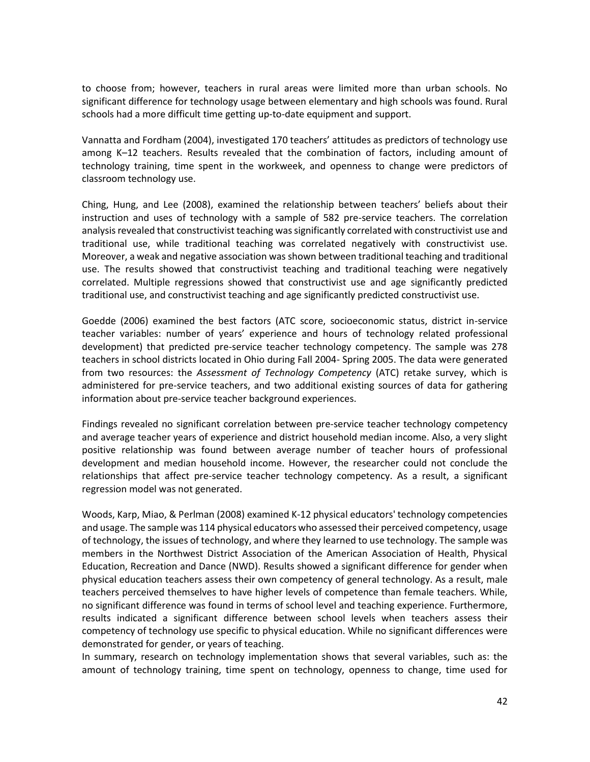to choose from; however, teachers in rural areas were limited more than urban schools. No significant difference for technology usage between elementary and high schools was found. Rural schools had a more difficult time getting up-to-date equipment and support.

Vannatta and Fordham (2004), investigated 170 teachers' attitudes as predictors of technology use among K–12 teachers. Results revealed that the combination of factors, including amount of technology training, time spent in the workweek, and openness to change were predictors of classroom technology use.

Ching, Hung, and Lee (2008), examined the relationship between teachers' beliefs about their instruction and uses of technology with a sample of 582 pre-service teachers. The correlation analysis revealed that constructivist teaching was significantly correlated with constructivist use and traditional use, while traditional teaching was correlated negatively with constructivist use. Moreover, a weak and negative association was shown between traditional teaching and traditional use. The results showed that constructivist teaching and traditional teaching were negatively correlated. Multiple regressions showed that constructivist use and age significantly predicted traditional use, and constructivist teaching and age significantly predicted constructivist use.

Goedde (2006) examined the best factors (ATC score, socioeconomic status, district in-service teacher variables: number of years' experience and hours of technology related professional development) that predicted pre-service teacher technology competency. The sample was 278 teachers in school districts located in Ohio during Fall 2004- Spring 2005. The data were generated from two resources: the *Assessment of Technology Competency* (ATC) retake survey, which is administered for pre-service teachers, and two additional existing sources of data for gathering information about pre-service teacher background experiences.

Findings revealed no significant correlation between pre-service teacher technology competency and average teacher years of experience and district household median income. Also, a very slight positive relationship was found between average number of teacher hours of professional development and median household income. However, the researcher could not conclude the relationships that affect pre-service teacher technology competency. As a result, a significant regression model was not generated.

Woods, Karp, Miao, & Perlman (2008) examined K-12 physical educators' technology competencies and usage. The sample was 114 physical educators who assessed their perceived competency, usage of technology, the issues of technology, and where they learned to use technology. The sample was members in the Northwest District Association of the American Association of Health, Physical Education, Recreation and Dance (NWD). Results showed a significant difference for gender when physical education teachers assess their own competency of general technology. As a result, male teachers perceived themselves to have higher levels of competence than female teachers. While, no significant difference was found in terms of school level and teaching experience. Furthermore, results indicated a significant difference between school levels when teachers assess their competency of technology use specific to physical education. While no significant differences were demonstrated for gender, or years of teaching.

In summary, research on technology implementation shows that several variables, such as: the amount of technology training, time spent on technology, openness to change, time used for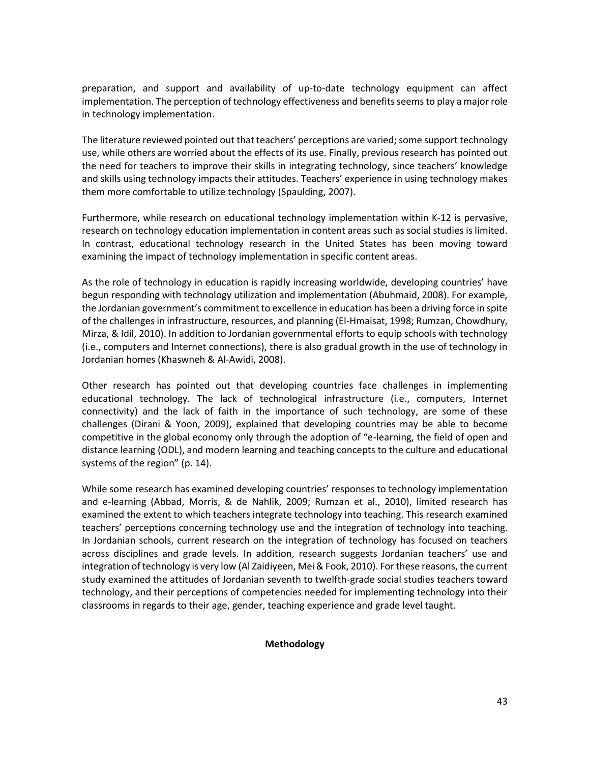preparation, and support and availability of up-to-date technology equipment can affect implementation. The perception of technology effectiveness and benefits seems to play a major role in technology implementation.

The literature reviewed pointed out that teachers' perceptions are varied; some support technology use, while others are worried about the effects of its use. Finally, previous research has pointed out the need for teachers to improve their skills in integrating technology, since teachers' knowledge and skills using technology impacts their attitudes. Teachers' experience in using technology makes them more comfortable to utilize technology (Spaulding, 2007).

Furthermore, while research on educational technology implementation within K-12 is pervasive, research on technology education implementation in content areas such as social studies is limited. In contrast, educational technology research in the United States has been moving toward examining the impact of technology implementation in specific content areas.

As the role of technology in education is rapidly increasing worldwide, developing countries' have begun responding with technology utilization and implementation (Abuhmaid, 2008). For example, the Jordanian government's commitment to excellence in education has been a driving force in spite of the challenges in infrastructure, resources, and planning (El-Hmaisat, 1998; Rumzan, Chowdhury, Mirza, & Idil, 2010). In addition to Jordanian governmental efforts to equip schools with technology (i.e., computers and Internet connections), there is also gradual growth in the use of technology in Jordanian homes (Khaswneh & Al-Awidi, 2008).

Other research has pointed out that developing countries face challenges in implementing educational technology. The lack of technological infrastructure (i.e., computers, Internet connectivity) and the lack of faith in the importance of such technology, are some of these challenges (Dirani & Yoon, 2009), explained that developing countries may be able to become competitive in the global economy only through the adoption of "e-learning, the field of open and distance learning (ODL), and modern learning and teaching concepts to the culture and educational systems of the region" (p. 14).

While some research has examined developing countries' responses to technology implementation and e-learning (Abbad, Morris, & de Nahlik, 2009; Rumzan et al., 2010), limited research has examined the extent to which teachers integrate technology into teaching. This research examined teachers' perceptions concerning technology use and the integration of technology into teaching. In Jordanian schools, current research on the integration of technology has focused on teachers across disciplines and grade levels. In addition, research suggests Jordanian teachers' use and integration of technology is very low (Al Zaidiyeen, Mei & Fook, 2010). For these reasons, the current study examined the attitudes of Jordanian seventh to twelfth-grade social studies teachers toward technology, and their perceptions of competencies needed for implementing technology into their classrooms in regards to their age, gender, teaching experience and grade level taught.

#### **Methodology**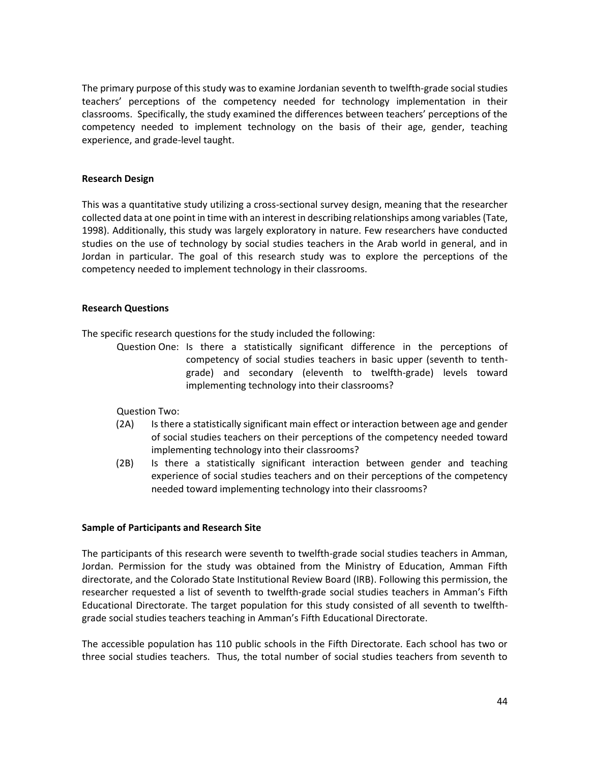The primary purpose of this study was to examine Jordanian seventh to twelfth-grade social studies teachers' perceptions of the competency needed for technology implementation in their classrooms. Specifically, the study examined the differences between teachers' perceptions of the competency needed to implement technology on the basis of their age, gender, teaching experience, and grade-level taught.

### **Research Design**

This was a quantitative study utilizing a cross-sectional survey design, meaning that the researcher collected data at one point in time with an interest in describing relationships among variables (Tate, 1998). Additionally, this study was largely exploratory in nature. Few researchers have conducted studies on the use of technology by social studies teachers in the Arab world in general, and in Jordan in particular. The goal of this research study was to explore the perceptions of the competency needed to implement technology in their classrooms.

### **Research Questions**

The specific research questions for the study included the following:

Question One: Is there a statistically significant difference in the perceptions of competency of social studies teachers in basic upper (seventh to tenthgrade) and secondary (eleventh to twelfth-grade) levels toward implementing technology into their classrooms?

Question Two:

- (2A) Is there a statistically significant main effect or interaction between age and gender of social studies teachers on their perceptions of the competency needed toward implementing technology into their classrooms?
- (2B) Is there a statistically significant interaction between gender and teaching experience of social studies teachers and on their perceptions of the competency needed toward implementing technology into their classrooms?

#### **Sample of Participants and Research Site**

The participants of this research were seventh to twelfth-grade social studies teachers in Amman, Jordan. Permission for the study was obtained from the Ministry of Education, Amman Fifth directorate, and the Colorado State Institutional Review Board (IRB). Following this permission, the researcher requested a list of seventh to twelfth-grade social studies teachers in Amman's Fifth Educational Directorate. The target population for this study consisted of all seventh to twelfthgrade social studies teachers teaching in Amman's Fifth Educational Directorate.

The accessible population has 110 public schools in the Fifth Directorate. Each school has two or three social studies teachers. Thus, the total number of social studies teachers from seventh to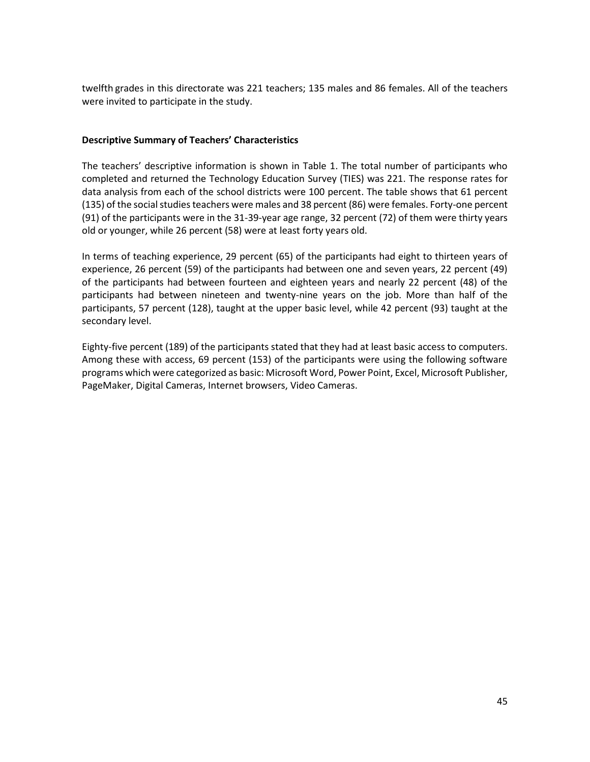twelfth grades in this directorate was 221 teachers; 135 males and 86 females. All of the teachers were invited to participate in the study.

### **Descriptive Summary of Teachers' Characteristics**

The teachers' descriptive information is shown in Table 1. The total number of participants who completed and returned the Technology Education Survey (TIES) was 221. The response rates for data analysis from each of the school districts were 100 percent. The table shows that 61 percent (135) of the social studies teachers were males and 38 percent (86) were females. Forty-one percent (91) of the participants were in the 31-39-year age range, 32 percent (72) of them were thirty years old or younger, while 26 percent (58) were at least forty years old.

In terms of teaching experience, 29 percent (65) of the participants had eight to thirteen years of experience, 26 percent (59) of the participants had between one and seven years, 22 percent (49) of the participants had between fourteen and eighteen years and nearly 22 percent (48) of the participants had between nineteen and twenty-nine years on the job. More than half of the participants, 57 percent (128), taught at the upper basic level, while 42 percent (93) taught at the secondary level.

Eighty-five percent (189) of the participants stated that they had at least basic access to computers. Among these with access, 69 percent (153) of the participants were using the following software programs which were categorized as basic: Microsoft Word, Power Point, Excel, Microsoft Publisher, PageMaker, Digital Cameras, Internet browsers, Video Cameras.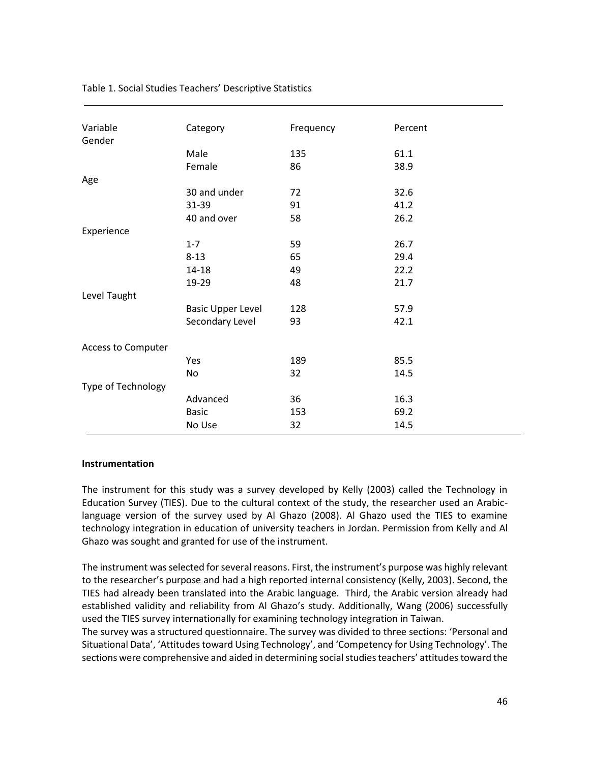| Variable           | Category                 | Frequency | Percent |
|--------------------|--------------------------|-----------|---------|
| Gender             |                          |           |         |
|                    | Male                     | 135       | 61.1    |
|                    | Female                   | 86        | 38.9    |
| Age                |                          |           |         |
|                    | 30 and under             | 72        | 32.6    |
|                    | 31-39                    | 91        | 41.2    |
|                    | 40 and over              | 58        | 26.2    |
| Experience         |                          |           |         |
|                    | $1 - 7$                  | 59        | 26.7    |
|                    | $8 - 13$                 | 65        | 29.4    |
|                    | $14 - 18$                | 49        | 22.2    |
|                    | 19-29                    | 48        | 21.7    |
| Level Taught       |                          |           |         |
|                    | <b>Basic Upper Level</b> | 128       | 57.9    |
|                    | Secondary Level          | 93        | 42.1    |
|                    |                          |           |         |
| Access to Computer |                          |           |         |
|                    | Yes                      | 189       | 85.5    |
|                    | No                       | 32        | 14.5    |
| Type of Technology |                          |           |         |
|                    | Advanced                 | 36        | 16.3    |
|                    |                          |           |         |
|                    | <b>Basic</b>             | 153       | 69.2    |
|                    | No Use                   | 32        | 14.5    |

### Table 1. Social Studies Teachers' Descriptive Statistics

#### **Instrumentation**

The instrument for this study was a survey developed by Kelly (2003) called the Technology in Education Survey (TIES). Due to the cultural context of the study, the researcher used an Arabiclanguage version of the survey used by Al Ghazo (2008). Al Ghazo used the TIES to examine technology integration in education of university teachers in Jordan. Permission from Kelly and Al Ghazo was sought and granted for use of the instrument.

The instrument was selected for several reasons. First, the instrument's purpose was highly relevant to the researcher's purpose and had a high reported internal consistency (Kelly, 2003). Second, the TIES had already been translated into the Arabic language. Third, the Arabic version already had established validity and reliability from Al Ghazo's study. Additionally, Wang (2006) successfully used the TIES survey internationally for examining technology integration in Taiwan.

The survey was a structured questionnaire. The survey was divided to three sections: 'Personal and Situational Data', 'Attitudes toward Using Technology', and 'Competency for Using Technology'. The sections were comprehensive and aided in determining social studies teachers' attitudes toward the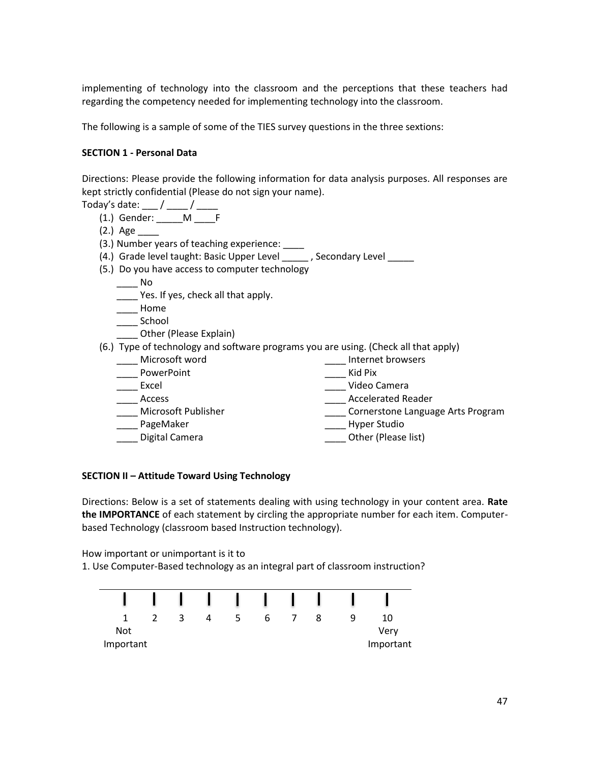implementing of technology into the classroom and the perceptions that these teachers had regarding the competency needed for implementing technology into the classroom.

The following is a sample of some of the TIES survey questions in the three sextions:

### **SECTION 1 - Personal Data**

Directions: Please provide the following information for data analysis purposes. All responses are kept strictly confidential (Please do not sign your name).

- Today's date:  $\frac{1}{2}$  /  $\frac{1}{2}$  /  $\frac{1}{2}$ 
	- $(1.)$  Gender: \_\_\_\_\_M \_\_\_\_\_\_\_F
	- (2.) Age \_\_\_\_
	- (3.) Number years of teaching experience: \_\_\_\_
	- (4.) Grade level taught: Basic Upper Level \_\_\_\_\_\_, Secondary Level \_\_\_\_\_
	- (5.) Do you have access to computer technology

 $\_\_$  No

- \_\_\_\_ Yes. If yes, check all that apply.
- \_\_\_\_ Home
- \_\_\_\_ School
- Other (Please Explain)

(6.) Type of technology and software programs you are using. (Check all that apply)

\_\_\_\_ Microsoft word \_\_\_\_ Internet browsers \_\_\_\_ PowerPoint \_\_\_\_ Kid Pix \_\_\_\_ Video Camera \_\_\_\_ Access \_\_\_\_ Accelerated Reader \_\_\_\_ Microsoft Publisher dentil the cornerstone Language Arts Program \_\_\_\_ PageMaker \_\_\_\_ Hyper Studio \_\_\_\_ Digital Camera \_\_\_\_ Other (Please list)

#### **SECTION II – Attitude Toward Using Technology**

Directions: Below is a set of statements dealing with using technology in your content area. **Rate the IMPORTANCE** of each statement by circling the appropriate number for each item. Computerbased Technology (classroom based Instruction technology).

How important or unimportant is it to

1. Use Computer-Based technology as an integral part of classroom instruction?

|                         |  |   | $\mathbf{1}$ |   |  |   |                   |
|-------------------------|--|---|--------------|---|--|---|-------------------|
|                         |  | 4 |              | b |  | Q | 10                |
| <b>Not</b><br>Important |  |   |              |   |  |   | Verv<br>Important |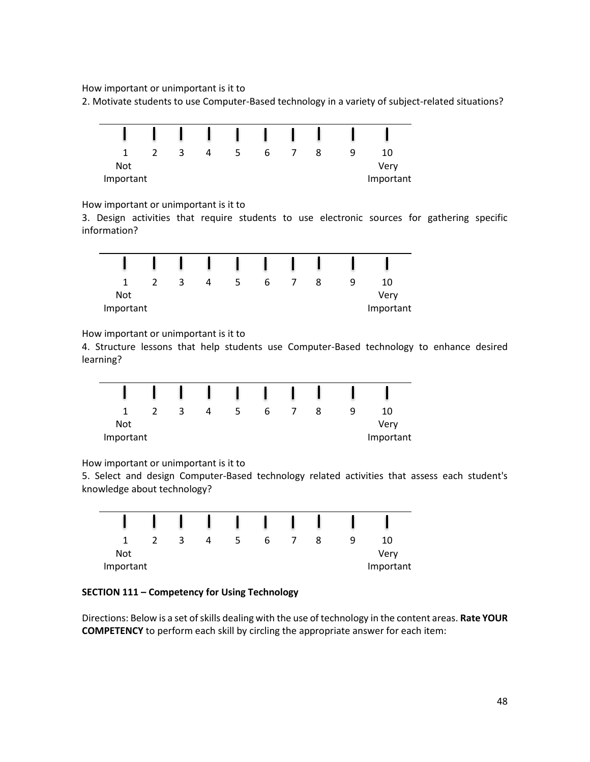How important or unimportant is it to

2. Motivate students to use Computer-Based technology in a variety of subject-related situations?



How important or unimportant is it to

3. Design activities that require students to use electronic sources for gathering specific information?

|           |  | 4 | ь |  | a | 10        |
|-----------|--|---|---|--|---|-----------|
| Not       |  |   |   |  |   | Very      |
| Important |  |   |   |  |   | Important |

How important or unimportant is it to

4. Structure lessons that help students use Computer-Based technology to enhance desired learning?

|            | ર | 4 | ь |  | q | 10        |
|------------|---|---|---|--|---|-----------|
| <b>Not</b> |   |   |   |  |   | Very      |
| Important  |   |   |   |  |   | Important |

How important or unimportant is it to

5. Select and design Computer-Based technology related activities that assess each student's knowledge about technology?

|            |  | 4 | b |  | 10        |
|------------|--|---|---|--|-----------|
| <b>Not</b> |  |   |   |  | Very      |
| Important  |  |   |   |  | Important |

## **SECTION 111 – Competency for Using Technology**

Directions: Below is a set of skills dealing with the use of technology in the content areas. **Rate YOUR COMPETENCY** to perform each skill by circling the appropriate answer for each item: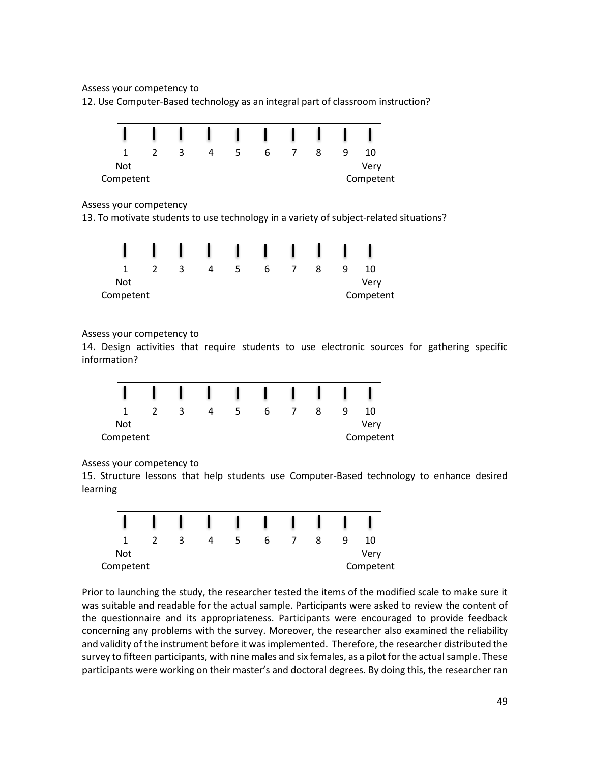Assess your competency to

12. Use Computer-Based technology as an integral part of classroom instruction?



### Assess your competency

13. To motivate students to use technology in a variety of subject-related situations?

|            | ≺ | 4 | b |  | 9 | 10        |  |
|------------|---|---|---|--|---|-----------|--|
| <b>Not</b> |   |   |   |  |   | Very      |  |
| Competent  |   |   |   |  |   | Competent |  |

### Assess your competency to

14. Design activities that require students to use electronic sources for gathering specific information?

|            | ≺ | 4 | b |  | 10        |
|------------|---|---|---|--|-----------|
| <b>Not</b> |   |   |   |  | Very      |
| Competent  |   |   |   |  | Competent |

Assess your competency to

15. Structure lessons that help students use Computer-Based technology to enhance desired learning



Prior to launching the study, the researcher tested the items of the modified scale to make sure it was suitable and readable for the actual sample. Participants were asked to review the content of the questionnaire and its appropriateness. Participants were encouraged to provide feedback concerning any problems with the survey. Moreover, the researcher also examined the reliability and validity of the instrument before it wasimplemented. Therefore, the researcher distributed the survey to fifteen participants, with nine males and six females, as a pilot for the actual sample. These participants were working on their master's and doctoral degrees. By doing this, the researcher ran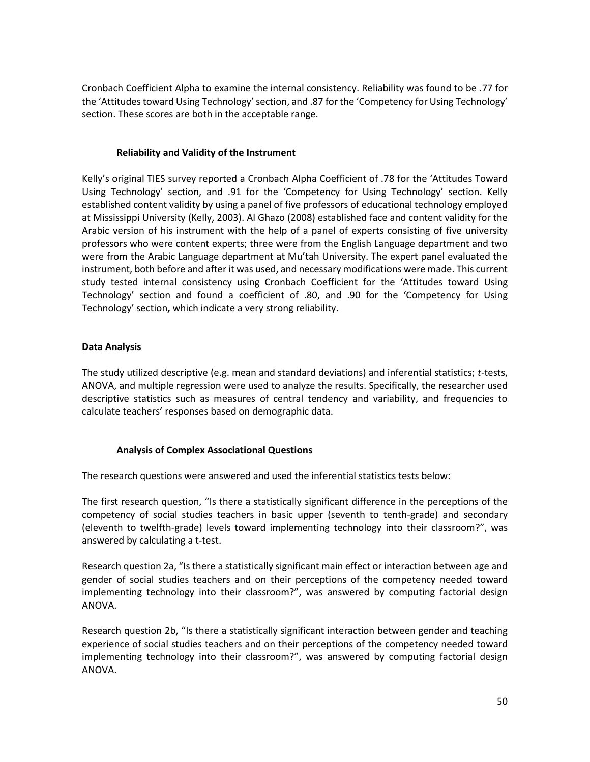Cronbach Coefficient Alpha to examine the internal consistency. Reliability was found to be .77 for the 'Attitudes toward Using Technology' section, and .87 for the 'Competency for Using Technology' section. These scores are both in the acceptable range.

### **Reliability and Validity of the Instrument**

Kelly's original TIES survey reported a Cronbach Alpha Coefficient of .78 for the 'Attitudes Toward Using Technology' section, and .91 for the 'Competency for Using Technology' section. Kelly established content validity by using a panel of five professors of educational technology employed at Mississippi University (Kelly, 2003). Al Ghazo (2008) established face and content validity for the Arabic version of his instrument with the help of a panel of experts consisting of five university professors who were content experts; three were from the English Language department and two were from the Arabic Language department at Mu'tah University. The expert panel evaluated the instrument, both before and after it was used, and necessary modifications were made. This current study tested internal consistency using Cronbach Coefficient for the 'Attitudes toward Using Technology' section and found a coefficient of .80, and .90 for the 'Competency for Using Technology' section**,** which indicate a very strong reliability.

### **Data Analysis**

The study utilized descriptive (e.g. mean and standard deviations) and inferential statistics; *t*-tests, ANOVA, and multiple regression were used to analyze the results. Specifically, the researcher used descriptive statistics such as measures of central tendency and variability, and frequencies to calculate teachers' responses based on demographic data.

## **Analysis of Complex Associational Questions**

The research questions were answered and used the inferential statistics tests below:

The first research question, "Is there a statistically significant difference in the perceptions of the competency of social studies teachers in basic upper (seventh to tenth-grade) and secondary (eleventh to twelfth-grade) levels toward implementing technology into their classroom?", was answered by calculating a t-test.

Research question 2a, "Is there a statistically significant main effect or interaction between age and gender of social studies teachers and on their perceptions of the competency needed toward implementing technology into their classroom?", was answered by computing factorial design ANOVA.

Research question 2b, "Is there a statistically significant interaction between gender and teaching experience of social studies teachers and on their perceptions of the competency needed toward implementing technology into their classroom?", was answered by computing factorial design ANOVA.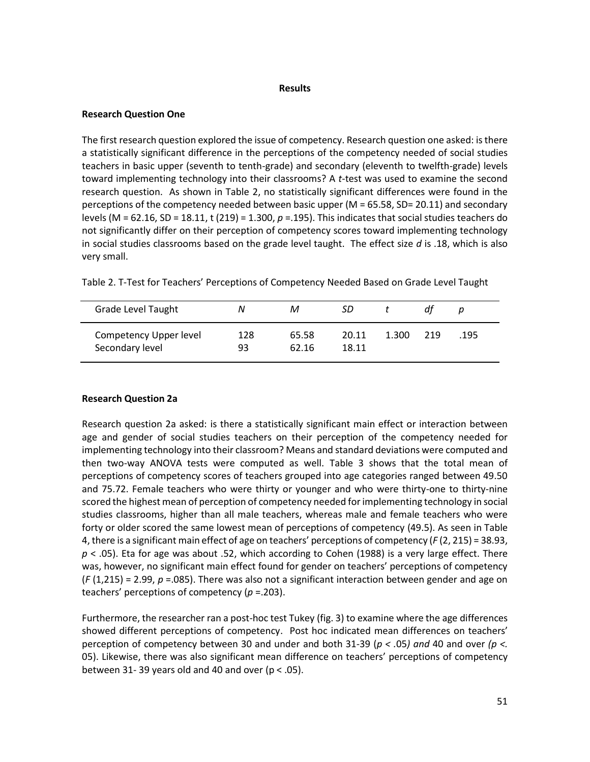#### **Results**

### **Research Question One**

The first research question explored the issue of competency. Research question one asked: is there a statistically significant difference in the perceptions of the competency needed of social studies teachers in basic upper (seventh to tenth-grade) and secondary (eleventh to twelfth-grade) levels toward implementing technology into their classrooms? A *t*-test was used to examine the second research question. As shown in Table 2, no statistically significant differences were found in the perceptions of the competency needed between basic upper (M = 65.58, SD= 20.11) and secondary levels (M = 62.16, SD = 18.11, t (219) = 1.300, *p* =.195). This indicates that social studies teachers do not significantly differ on their perception of competency scores toward implementing technology in social studies classrooms based on the grade level taught. The effect size *d* is .18, which is also very small.

| <b>Grade Level Taught</b>                 | Ν         | М              | SD             |       | df  |      |  |
|-------------------------------------------|-----------|----------------|----------------|-------|-----|------|--|
| Competency Upper level<br>Secondary level | 128<br>93 | 65.58<br>62.16 | 20.11<br>18.11 | 1.300 | 219 | .195 |  |

Table 2. T-Test for Teachers' Perceptions of Competency Needed Based on Grade Level Taught

### **Research Question 2a**

Research question 2a asked: is there a statistically significant main effect or interaction between age and gender of social studies teachers on their perception of the competency needed for implementing technology into their classroom? Means and standard deviations were computed and then two-way ANOVA tests were computed as well. Table 3 shows that the total mean of perceptions of competency scores of teachers grouped into age categories ranged between 49.50 and 75.72. Female teachers who were thirty or younger and who were thirty-one to thirty-nine scored the highest mean of perception of competency needed for implementing technology in social studies classrooms, higher than all male teachers, whereas male and female teachers who were forty or older scored the same lowest mean of perceptions of competency (49.5). As seen in Table 4, there is a significant main effect of age on teachers' perceptions of competency (*F* (2, 215) = 38.93, *p* < .05). Eta for age was about .52, which according to Cohen (1988) is a very large effect. There was, however, no significant main effect found for gender on teachers' perceptions of competency (*F* (1,215) = 2.99, *p* =.085). There was also not a significant interaction between gender and age on teachers' perceptions of competency (*p* =.203).

Furthermore, the researcher ran a post-hoc test Tukey (fig. 3) to examine where the age differences showed different perceptions of competency. Post hoc indicated mean differences on teachers' perception of competency between 30 and under and both 31-39 (*p < .*05*) and* 40 and over *(p <.* 05). Likewise, there was also significant mean difference on teachers' perceptions of competency between 31-39 years old and 40 and over ( $p < .05$ ).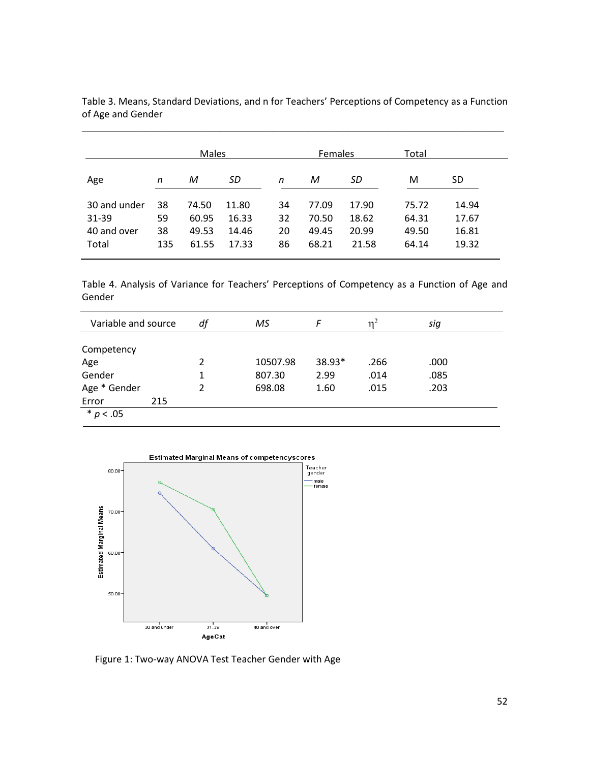|              |     | <b>Males</b> |       |    | <b>Females</b> |       | Total |       |
|--------------|-----|--------------|-------|----|----------------|-------|-------|-------|
| Age          | n   | M            | SD    | n  | М              | SD    | М     | SD    |
| 30 and under | 38  | 74.50        | 11.80 | 34 | 77.09          | 17.90 | 75.72 | 14.94 |
| 31-39        | 59  | 60.95        | 16.33 | 32 | 70.50          | 18.62 | 64.31 | 17.67 |
| 40 and over  | 38  | 49.53        | 14.46 | 20 | 49.45          | 20.99 | 49.50 | 16.81 |
| Total        | 135 | 61.55        | 17.33 | 86 | 68.21          | 21.58 | 64.14 | 19.32 |

Table 3. Means, Standard Deviations, and n for Teachers' Perceptions of Competency as a Function of Age and Gender

\_\_\_\_\_\_\_\_\_\_\_\_\_\_\_\_\_\_\_\_\_\_\_\_\_\_\_\_\_\_\_\_\_\_\_\_\_\_\_\_\_\_\_\_\_\_\_\_\_\_\_\_\_\_\_\_\_\_\_\_\_\_\_\_\_\_\_\_\_\_\_\_\_

Table 4. Analysis of Variance for Teachers' Perceptions of Competency as a Function of Age and Gender

| Variable and source |     | df             | MS       | F      | n <sup>2</sup> | sig  |
|---------------------|-----|----------------|----------|--------|----------------|------|
| Competency          |     |                |          |        |                |      |
| Age                 |     | $\mathfrak{p}$ | 10507.98 | 38.93* | .266           | .000 |
| Gender              |     |                | 807.30   | 2.99   | .014           | .085 |
| Age * Gender        |     |                | 698.08   | 1.60   | .015           | .203 |
| Error               | 215 |                |          |        |                |      |
| * $p < .05$         |     |                |          |        |                |      |



Figure 1: Two-way ANOVA Test Teacher Gender with Age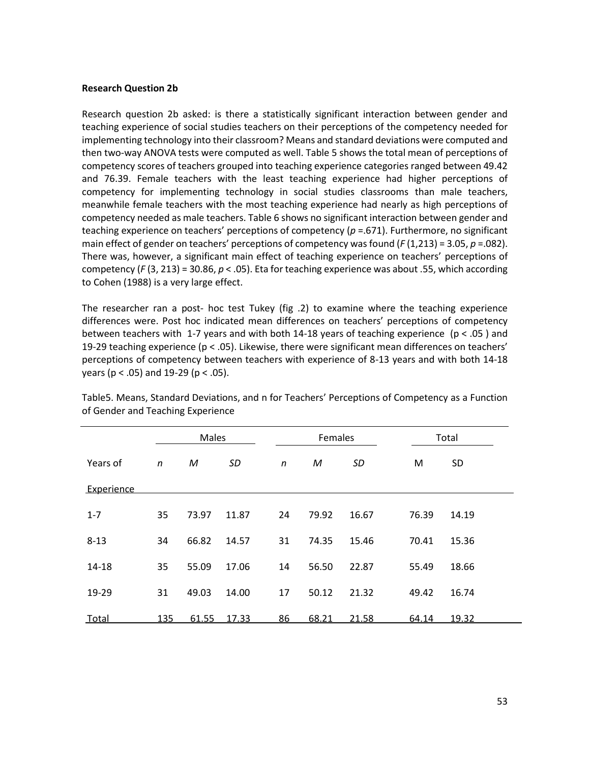#### **Research Question 2b**

Research question 2b asked: is there a statistically significant interaction between gender and teaching experience of social studies teachers on their perceptions of the competency needed for implementing technology into their classroom? Means and standard deviations were computed and then two-way ANOVA tests were computed as well. Table 5 shows the total mean of perceptions of competency scores of teachers grouped into teaching experience categories ranged between 49.42 and 76.39. Female teachers with the least teaching experience had higher perceptions of competency for implementing technology in social studies classrooms than male teachers, meanwhile female teachers with the most teaching experience had nearly as high perceptions of competency needed as male teachers. Table 6 shows no significant interaction between gender and teaching experience on teachers' perceptions of competency (*p* =.671). Furthermore, no significant main effect of gender on teachers' perceptions of competency was found (*F* (1,213) = 3.05, *p* =.082). There was, however, a significant main effect of teaching experience on teachers' perceptions of competency (*F* (3, 213) = 30.86, *p* < .05). Eta for teaching experience was about .55, which according to Cohen (1988) is a very large effect.

The researcher ran a post- hoc test Tukey (fig .2) to examine where the teaching experience differences were. Post hoc indicated mean differences on teachers' perceptions of competency between teachers with 1-7 years and with both 14-18 years of teaching experience (p < .05 ) and 19-29 teaching experience (p < .05). Likewise, there were significant mean differences on teachers' perceptions of competency between teachers with experience of 8-13 years and with both 14-18 years ( $p < .05$ ) and 19-29 ( $p < .05$ ).

|            |              | Males |       |              | Females |       | Total |           |  |
|------------|--------------|-------|-------|--------------|---------|-------|-------|-----------|--|
| Years of   | $\mathsf{n}$ | M     | SD    | $\mathsf{n}$ | M       | SD    | M     | <b>SD</b> |  |
| Experience |              |       |       |              |         |       |       |           |  |
| $1 - 7$    | 35           | 73.97 | 11.87 | 24           | 79.92   | 16.67 | 76.39 | 14.19     |  |
| $8 - 13$   | 34           | 66.82 | 14.57 | 31           | 74.35   | 15.46 | 70.41 | 15.36     |  |
| $14 - 18$  | 35           | 55.09 | 17.06 | 14           | 56.50   | 22.87 | 55.49 | 18.66     |  |
| 19-29      | 31           | 49.03 | 14.00 | 17           | 50.12   | 21.32 | 49.42 | 16.74     |  |
| Total      | 135          | 61.55 | 17.33 | 86           | 68.21   | 21.58 | 64.14 | 19.32     |  |

Table5. Means, Standard Deviations, and n for Teachers' Perceptions of Competency as a Function of Gender and Teaching Experience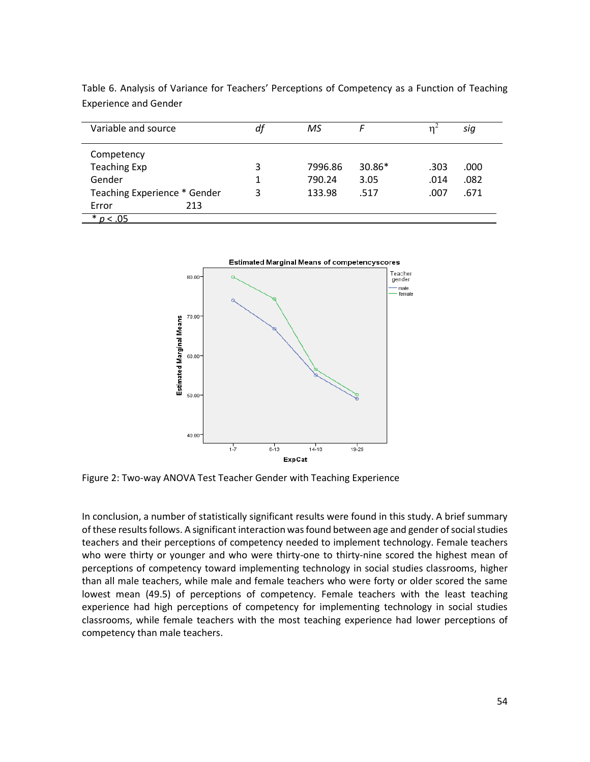| Variable and source          |     | df | ΜS      | F      | 'n   | sig  |
|------------------------------|-----|----|---------|--------|------|------|
| Competency                   |     |    |         |        |      |      |
| <b>Teaching Exp</b>          |     | 3  | 7996.86 | 30.86* | .303 | .000 |
| Gender                       |     |    | 790.24  | 3.05   | .014 | .082 |
| Teaching Experience * Gender |     | 3  | 133.98  | .517   | .007 | .671 |
| Error                        | 213 |    |         |        |      |      |
| * $p < .05$                  |     |    |         |        |      |      |

Table 6. Analysis of Variance for Teachers' Perceptions of Competency as a Function of Teaching Experience and Gender



Figure 2: Two-way ANOVA Test Teacher Gender with Teaching Experience

In conclusion, a number of statistically significant results were found in this study. A brief summary of these results follows. A significant interaction was found between age and gender of social studies teachers and their perceptions of competency needed to implement technology. Female teachers who were thirty or younger and who were thirty-one to thirty-nine scored the highest mean of perceptions of competency toward implementing technology in social studies classrooms, higher than all male teachers, while male and female teachers who were forty or older scored the same lowest mean (49.5) of perceptions of competency. Female teachers with the least teaching experience had high perceptions of competency for implementing technology in social studies classrooms, while female teachers with the most teaching experience had lower perceptions of competency than male teachers.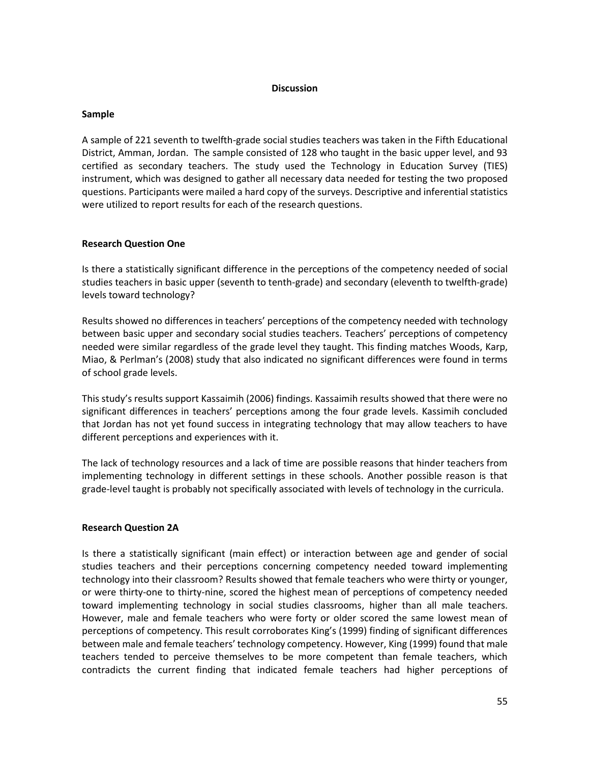#### **Discussion**

### **Sample**

A sample of 221 seventh to twelfth-grade social studies teachers was taken in the Fifth Educational District, Amman, Jordan. The sample consisted of 128 who taught in the basic upper level, and 93 certified as secondary teachers. The study used the Technology in Education Survey (TIES) instrument, which was designed to gather all necessary data needed for testing the two proposed questions. Participants were mailed a hard copy of the surveys. Descriptive and inferential statistics were utilized to report results for each of the research questions.

### **Research Question One**

Is there a statistically significant difference in the perceptions of the competency needed of social studies teachers in basic upper (seventh to tenth-grade) and secondary (eleventh to twelfth-grade) levels toward technology?

Results showed no differences in teachers' perceptions of the competency needed with technology between basic upper and secondary social studies teachers. Teachers' perceptions of competency needed were similar regardless of the grade level they taught. This finding matches Woods, Karp, Miao, & Perlman's (2008) study that also indicated no significant differences were found in terms of school grade levels.

This study's results support Kassaimih (2006) findings. Kassaimih results showed that there were no significant differences in teachers' perceptions among the four grade levels. Kassimih concluded that Jordan has not yet found success in integrating technology that may allow teachers to have different perceptions and experiences with it.

The lack of technology resources and a lack of time are possible reasons that hinder teachers from implementing technology in different settings in these schools. Another possible reason is that grade-level taught is probably not specifically associated with levels of technology in the curricula.

#### **Research Question 2A**

Is there a statistically significant (main effect) or interaction between age and gender of social studies teachers and their perceptions concerning competency needed toward implementing technology into their classroom? Results showed that female teachers who were thirty or younger, or were thirty-one to thirty-nine, scored the highest mean of perceptions of competency needed toward implementing technology in social studies classrooms, higher than all male teachers. However, male and female teachers who were forty or older scored the same lowest mean of perceptions of competency. This result corroborates King's (1999) finding of significant differences between male and female teachers' technology competency. However, King (1999) found that male teachers tended to perceive themselves to be more competent than female teachers, which contradicts the current finding that indicated female teachers had higher perceptions of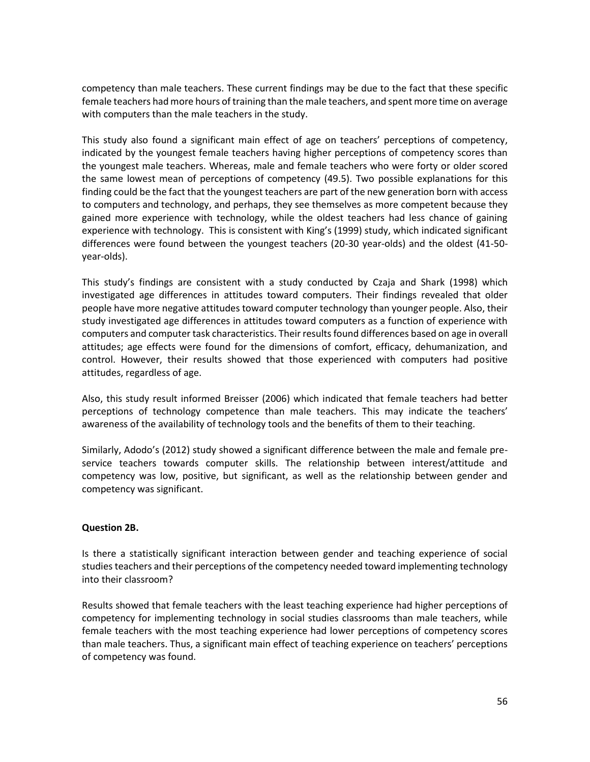competency than male teachers. These current findings may be due to the fact that these specific female teachers had more hours of training than the male teachers, and spent more time on average with computers than the male teachers in the study.

This study also found a significant main effect of age on teachers' perceptions of competency, indicated by the youngest female teachers having higher perceptions of competency scores than the youngest male teachers. Whereas, male and female teachers who were forty or older scored the same lowest mean of perceptions of competency (49.5). Two possible explanations for this finding could be the fact that the youngest teachers are part of the new generation born with access to computers and technology, and perhaps, they see themselves as more competent because they gained more experience with technology, while the oldest teachers had less chance of gaining experience with technology. This is consistent with King's (1999) study, which indicated significant differences were found between the youngest teachers (20-30 year-olds) and the oldest (41-50 year-olds).

This study's findings are consistent with a study conducted by Czaja and Shark (1998) which investigated age differences in attitudes toward computers. Their findings revealed that older people have more negative attitudes toward computer technology than younger people. Also, their study investigated age differences in attitudes toward computers as a function of experience with computers and computer task characteristics. Their results found differences based on age in overall attitudes; age effects were found for the dimensions of comfort, efficacy, dehumanization, and control. However, their results showed that those experienced with computers had positive attitudes, regardless of age.

Also, this study result informed Breisser (2006) which indicated that female teachers had better perceptions of technology competence than male teachers. This may indicate the teachers' awareness of the availability of technology tools and the benefits of them to their teaching.

Similarly, Adodo's (2012) study showed a significant difference between the male and female preservice teachers towards computer skills. The relationship between interest/attitude and competency was low, positive, but significant, as well as the relationship between gender and competency was significant.

### **Question 2B.**

Is there a statistically significant interaction between gender and teaching experience of social studies teachers and their perceptions of the competency needed toward implementing technology into their classroom?

Results showed that female teachers with the least teaching experience had higher perceptions of competency for implementing technology in social studies classrooms than male teachers, while female teachers with the most teaching experience had lower perceptions of competency scores than male teachers. Thus, a significant main effect of teaching experience on teachers' perceptions of competency was found.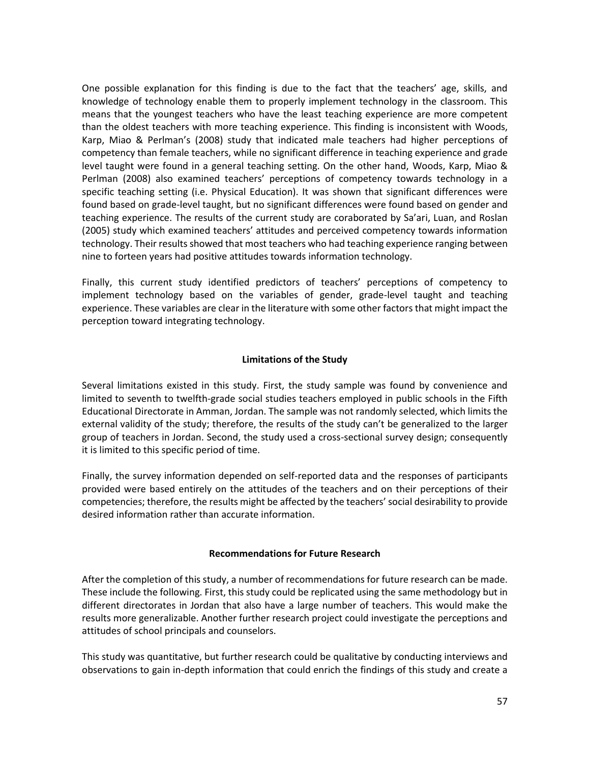One possible explanation for this finding is due to the fact that the teachers' age, skills, and knowledge of technology enable them to properly implement technology in the classroom. This means that the youngest teachers who have the least teaching experience are more competent than the oldest teachers with more teaching experience. This finding is inconsistent with Woods, Karp, Miao & Perlman's (2008) study that indicated male teachers had higher perceptions of competency than female teachers, while no significant difference in teaching experience and grade level taught were found in a general teaching setting. On the other hand, Woods, Karp, Miao & Perlman (2008) also examined teachers' perceptions of competency towards technology in a specific teaching setting (i.e. Physical Education). It was shown that significant differences were found based on grade-level taught, but no significant differences were found based on gender and teaching experience. The results of the current study are coraborated by Sa'ari, Luan, and Roslan (2005) study which examined teachers' attitudes and perceived competency towards information technology. Their results showed that most teachers who had teaching experience ranging between nine to forteen years had positive attitudes towards information technology.

Finally, this current study identified predictors of teachers' perceptions of competency to implement technology based on the variables of gender, grade-level taught and teaching experience. These variables are clear in the literature with some other factors that might impact the perception toward integrating technology.

### **Limitations of the Study**

Several limitations existed in this study. First, the study sample was found by convenience and limited to seventh to twelfth-grade social studies teachers employed in public schools in the Fifth Educational Directorate in Amman, Jordan. The sample was not randomly selected, which limits the external validity of the study; therefore, the results of the study can't be generalized to the larger group of teachers in Jordan. Second, the study used a cross-sectional survey design; consequently it is limited to this specific period of time.

Finally, the survey information depended on self-reported data and the responses of participants provided were based entirely on the attitudes of the teachers and on their perceptions of their competencies; therefore, the results might be affected by the teachers' social desirability to provide desired information rather than accurate information.

### **Recommendations for Future Research**

After the completion of this study, a number of recommendations for future research can be made. These include the following. First, this study could be replicated using the same methodology but in different directorates in Jordan that also have a large number of teachers. This would make the results more generalizable. Another further research project could investigate the perceptions and attitudes of school principals and counselors.

This study was quantitative, but further research could be qualitative by conducting interviews and observations to gain in-depth information that could enrich the findings of this study and create a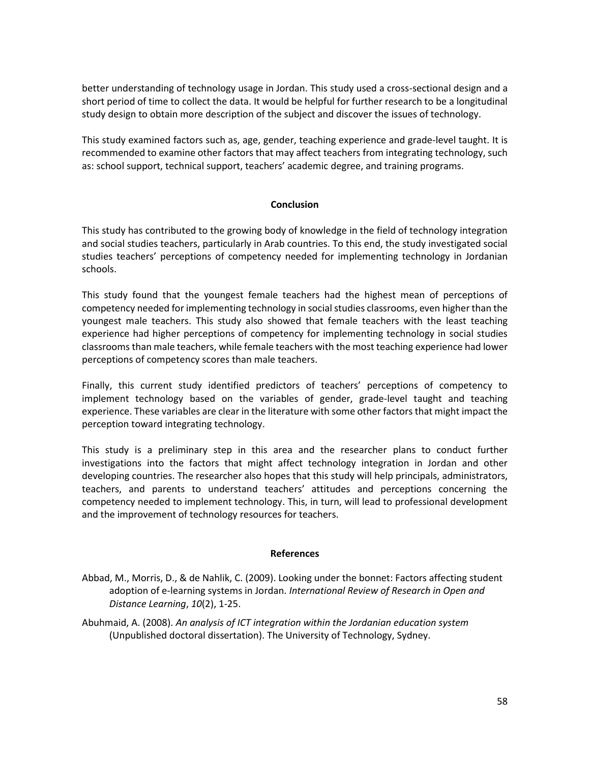better understanding of technology usage in Jordan. This study used a cross-sectional design and a short period of time to collect the data. It would be helpful for further research to be a longitudinal study design to obtain more description of the subject and discover the issues of technology.

This study examined factors such as, age, gender, teaching experience and grade-level taught. It is recommended to examine other factors that may affect teachers from integrating technology, such as: school support, technical support, teachers' academic degree, and training programs.

### **Conclusion**

This study has contributed to the growing body of knowledge in the field of technology integration and social studies teachers, particularly in Arab countries. To this end, the study investigated social studies teachers' perceptions of competency needed for implementing technology in Jordanian schools.

This study found that the youngest female teachers had the highest mean of perceptions of competency needed for implementing technology in social studies classrooms, even higher than the youngest male teachers. This study also showed that female teachers with the least teaching experience had higher perceptions of competency for implementing technology in social studies classrooms than male teachers, while female teachers with the most teaching experience had lower perceptions of competency scores than male teachers.

Finally, this current study identified predictors of teachers' perceptions of competency to implement technology based on the variables of gender, grade-level taught and teaching experience. These variables are clear in the literature with some other factors that might impact the perception toward integrating technology.

This study is a preliminary step in this area and the researcher plans to conduct further investigations into the factors that might affect technology integration in Jordan and other developing countries. The researcher also hopes that this study will help principals, administrators, teachers, and parents to understand teachers' attitudes and perceptions concerning the competency needed to implement technology. This, in turn, will lead to professional development and the improvement of technology resources for teachers.

#### **References**

- Abbad, M., Morris, D., & de Nahlik, C. (2009). Looking under the bonnet: Factors affecting student adoption of e-learning systems in Jordan. *International Review of Research in Open and Distance Learning*, *10*(2), 1-25.
- Abuhmaid, A. (2008). *An analysis of ICT integration within the Jordanian education system* (Unpublished doctoral dissertation). The University of Technology, Sydney.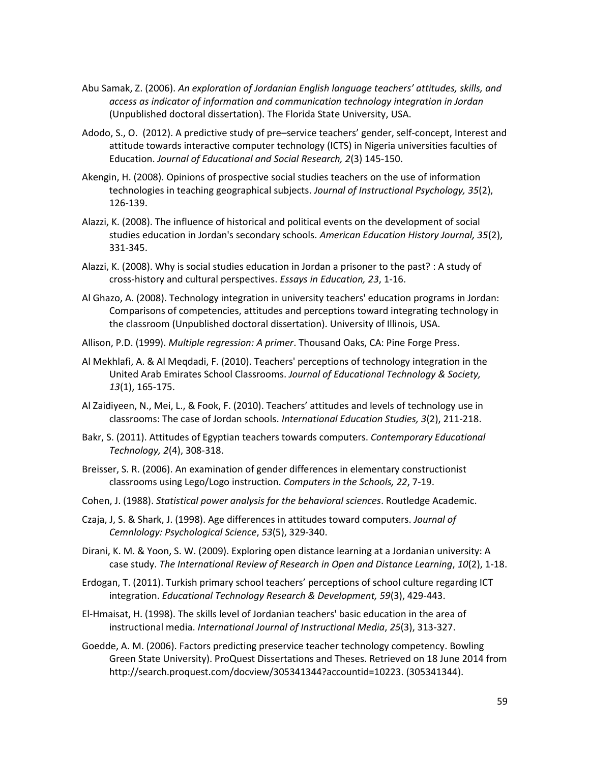- Abu Samak, Z. (2006). *An exploration of Jordanian English language teachers' attitudes, skills, and access as indicator of information and communication technology integration in Jordan* (Unpublished doctoral dissertation). The Florida State University, USA.
- Adodo, S., O. (2012). A predictive study of pre–service teachers' gender, self-concept, Interest and attitude towards interactive computer technology (ICTS) in Nigeria universities faculties of Education. *Journal of Educational and Social Research, 2*(3) 145-150.
- Akengin, H. (2008). Opinions of prospective social studies teachers on the use of information technologies in teaching geographical subjects. *Journal of Instructional Psychology, 35*(2), 126-139.
- Alazzi, K. (2008). The influence of historical and political events on the development of social studies education in Jordan's secondary schools. *American Education History Journal, 35*(2), 331-345.
- Alazzi, K. (2008). Why is social studies education in Jordan a prisoner to the past? : A study of cross-history and cultural perspectives. *Essays in Education, 23*, 1-16.
- Al Ghazo, A. (2008). Technology integration in university teachers' education programs in Jordan: Comparisons of competencies, attitudes and perceptions toward integrating technology in the classroom (Unpublished doctoral dissertation). University of Illinois, USA.
- Allison, P.D. (1999). *Multiple regression: A primer*. Thousand Oaks, CA: Pine Forge Press.
- Al Mekhlafi, A. & Al Meqdadi, F. (2010). Teachers' perceptions of technology integration in the United Arab Emirates School Classrooms. *Journal of Educational Technology & Society, 13*(1), 165-175.
- Al Zaidiyeen, N., Mei, L., & Fook, F. (2010). Teachers' attitudes and levels of technology use in classrooms: The case of Jordan schools. *International Education Studies, 3*(2), 211-218.
- Bakr, S. (2011). Attitudes of Egyptian teachers towards computers. *Contemporary Educational Technology, 2*(4), 308-318.
- Breisser, S. R. (2006). An examination of gender differences in elementary constructionist classrooms using Lego/Logo instruction. *Computers in the Schools, 22*, 7-19.
- Cohen, J. (1988). *Statistical power analysis for the behavioral sciences*. Routledge Academic.
- Czaja, J, S. & Shark, J. (1998). Age differences in attitudes toward computers. *Journal of Cemnlology: Psychological Science*, *53*(5), 329-340.
- Dirani, K. M. & Yoon, S. W. (2009). Exploring open distance learning at a Jordanian university: A case study. *The International Review of Research in Open and Distance Learning*, *10*(2), 1-18.
- Erdogan, T. (2011). Turkish primary school teachers' perceptions of school culture regarding ICT integration. *Educational Technology Research & Development, 59*(3), 429-443.
- El-Hmaisat, H. (1998). The skills level of Jordanian teachers' basic education in the area of instructional media. *International Journal of Instructional Media*, *25*(3), 313-327.
- Goedde, A. M. (2006). Factors predicting preservice teacher technology competency. Bowling Green State University). ProQuest Dissertations and Theses. Retrieved on 18 June 2014 from http://search.proquest.com/docview/305341344?accountid=10223. (305341344).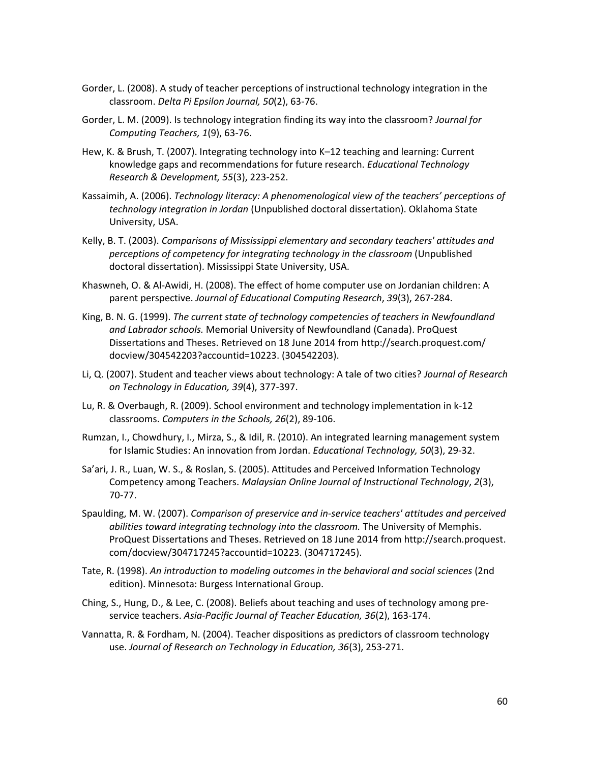- Gorder, L. (2008). A study of teacher perceptions of instructional technology integration in the classroom. *Delta Pi Epsilon Journal, 50*(2), 63-76.
- Gorder, L. M. (2009). Is technology integration finding its way into the classroom? *Journal for Computing Teachers, 1*(9), 63-76.
- Hew, K. & Brush, T. (2007). Integrating technology into K–12 teaching and learning: Current knowledge gaps and recommendations for future research. *Educational Technology Research & Development, 55*(3), 223-252.
- Kassaimih, A. (2006). *Technology literacy: A phenomenological view of the teachers' perceptions of technology integration in Jordan* (Unpublished doctoral dissertation). Oklahoma State University, USA.
- Kelly, B. T. (2003). *Comparisons of Mississippi elementary and secondary teachers' attitudes and perceptions of competency for integrating technology in the classroom* (Unpublished doctoral dissertation). Mississippi State University, USA.
- Khaswneh, O. & Al-Awidi, H. (2008). The effect of home computer use on Jordanian children: A parent perspective. *Journal of Educational Computing Research*, *39*(3), 267-284.
- King, B. N. G. (1999). *The current state of technology competencies of teachers in Newfoundland and Labrador schools.* Memorial University of Newfoundland (Canada). ProQuest Dissertations and Theses. Retrieved on 18 June 2014 from<http://search.proquest.com/> docview/304542203?accountid=10223. (304542203).
- Li, Q. (2007). Student and teacher views about technology: A tale of two cities? *Journal of Research on Technology in Education, 39*(4), 377-397.
- Lu, R. & Overbaugh, R. (2009). School environment and technology implementation in k-12 classrooms. *Computers in the Schools, 26*(2), 89-106.
- Rumzan, I., Chowdhury, I., Mirza, S., & Idil, R. (2010). An integrated learning management system for Islamic Studies: An innovation from Jordan. *Educational Technology, 50*(3), 29-32.
- Sa'ari, J. R., Luan, W. S., & Roslan, S. (2005). Attitudes and Perceived Information Technology Competency among Teachers. *Malaysian Online Journal of Instructional Technology*, *2*(3), 70-77.
- Spaulding, M. W. (2007). *Comparison of preservice and in-service teachers' attitudes and perceived abilities toward integrating technology into the classroom.* The University of Memphis. ProQuest Dissertations and Theses. Retrieved on 18 June 2014 fro[m http://search.proquest.](http://search.proquest/) com/docview/304717245?accountid=10223. (304717245).
- Tate, R. (1998). *An introduction to modeling outcomes in the behavioral and social sciences* (2nd edition). Minnesota: Burgess International Group.
- Ching, S., Hung, D., & Lee, C. (2008). Beliefs about teaching and uses of technology among preservice teachers. *Asia-Pacific Journal of Teacher Education, 36*(2), 163-174.
- Vannatta, R. & Fordham, N. (2004). Teacher dispositions as predictors of classroom technology use. *Journal of Research on Technology in Education, 36*(3), 253-271.